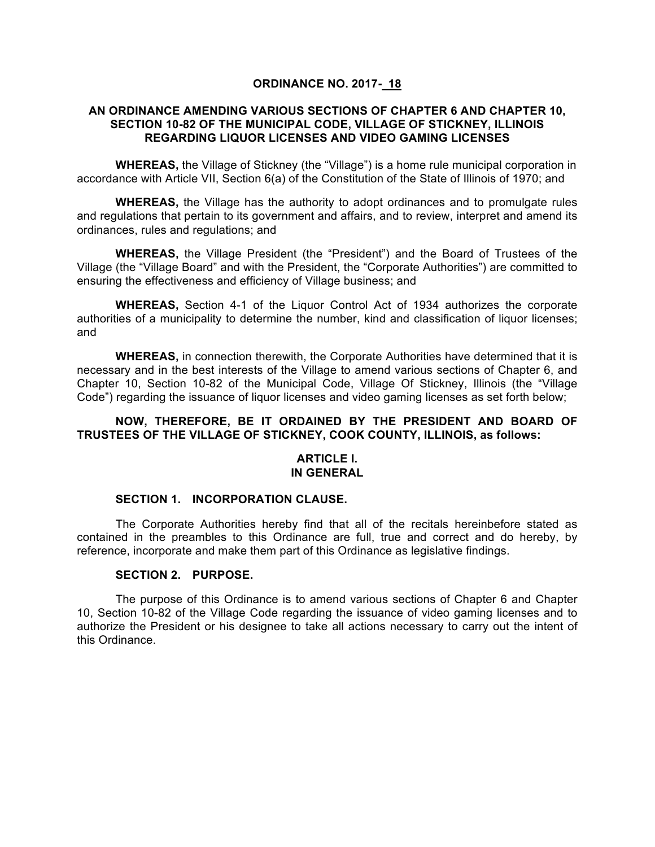#### **ORDINANCE NO. 2017- 18**

## **AN ORDINANCE AMENDING VARIOUS SECTIONS OF CHAPTER 6 AND CHAPTER 10, SECTION 10-82 OF THE MUNICIPAL CODE, VILLAGE OF STICKNEY, ILLINOIS REGARDING LIQUOR LICENSES AND VIDEO GAMING LICENSES**

**WHEREAS,** the Village of Stickney (the "Village") is a home rule municipal corporation in accordance with Article VII, Section 6(a) of the Constitution of the State of Illinois of 1970; and

**WHEREAS,** the Village has the authority to adopt ordinances and to promulgate rules and regulations that pertain to its government and affairs, and to review, interpret and amend its ordinances, rules and regulations; and

**WHEREAS,** the Village President (the "President") and the Board of Trustees of the Village (the "Village Board" and with the President, the "Corporate Authorities") are committed to ensuring the effectiveness and efficiency of Village business; and

**WHEREAS,** Section 4-1 of the Liquor Control Act of 1934 authorizes the corporate authorities of a municipality to determine the number, kind and classification of liquor licenses; and

**WHEREAS,** in connection therewith, the Corporate Authorities have determined that it is necessary and in the best interests of the Village to amend various sections of Chapter 6, and Chapter 10, Section 10-82 of the Municipal Code, Village Of Stickney, Illinois (the "Village Code") regarding the issuance of liquor licenses and video gaming licenses as set forth below;

## **NOW, THEREFORE, BE IT ORDAINED BY THE PRESIDENT AND BOARD OF TRUSTEES OF THE VILLAGE OF STICKNEY, COOK COUNTY, ILLINOIS, as follows:**

#### **ARTICLE I. IN GENERAL**

#### **SECTION 1. INCORPORATION CLAUSE.**

The Corporate Authorities hereby find that all of the recitals hereinbefore stated as contained in the preambles to this Ordinance are full, true and correct and do hereby, by reference, incorporate and make them part of this Ordinance as legislative findings.

#### **SECTION 2. PURPOSE.**

The purpose of this Ordinance is to amend various sections of Chapter 6 and Chapter 10, Section 10-82 of the Village Code regarding the issuance of video gaming licenses and to authorize the President or his designee to take all actions necessary to carry out the intent of this Ordinance.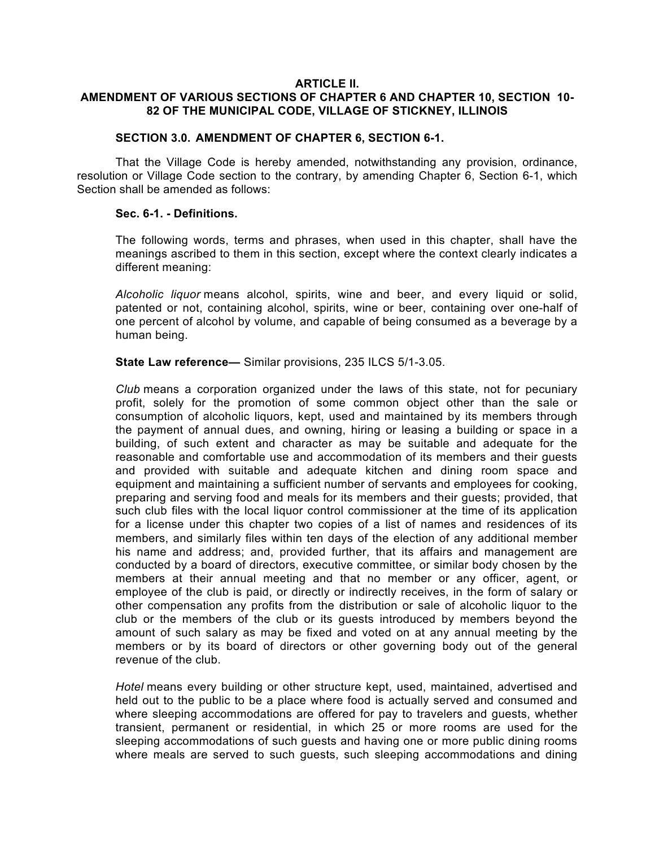#### **ARTICLE II.**

## **AMENDMENT OF VARIOUS SECTIONS OF CHAPTER 6 AND CHAPTER 10, SECTION 10- 82 OF THE MUNICIPAL CODE, VILLAGE OF STICKNEY, ILLINOIS**

## **SECTION 3.0. AMENDMENT OF CHAPTER 6, SECTION 6-1.**

That the Village Code is hereby amended, notwithstanding any provision, ordinance, resolution or Village Code section to the contrary, by amending Chapter 6, Section 6-1, which Section shall be amended as follows:

#### **Sec. 6-1. - Definitions.**

The following words, terms and phrases, when used in this chapter, shall have the meanings ascribed to them in this section, except where the context clearly indicates a different meaning:

*Alcoholic liquor* means alcohol, spirits, wine and beer, and every liquid or solid, patented or not, containing alcohol, spirits, wine or beer, containing over one-half of one percent of alcohol by volume, and capable of being consumed as a beverage by a human being.

**State Law reference—** Similar provisions, 235 ILCS 5/1-3.05.

*Club* means a corporation organized under the laws of this state, not for pecuniary profit, solely for the promotion of some common object other than the sale or consumption of alcoholic liquors, kept, used and maintained by its members through the payment of annual dues, and owning, hiring or leasing a building or space in a building, of such extent and character as may be suitable and adequate for the reasonable and comfortable use and accommodation of its members and their guests and provided with suitable and adequate kitchen and dining room space and equipment and maintaining a sufficient number of servants and employees for cooking, preparing and serving food and meals for its members and their guests; provided, that such club files with the local liquor control commissioner at the time of its application for a license under this chapter two copies of a list of names and residences of its members, and similarly files within ten days of the election of any additional member his name and address; and, provided further, that its affairs and management are conducted by a board of directors, executive committee, or similar body chosen by the members at their annual meeting and that no member or any officer, agent, or employee of the club is paid, or directly or indirectly receives, in the form of salary or other compensation any profits from the distribution or sale of alcoholic liquor to the club or the members of the club or its guests introduced by members beyond the amount of such salary as may be fixed and voted on at any annual meeting by the members or by its board of directors or other governing body out of the general revenue of the club.

*Hotel* means every building or other structure kept, used, maintained, advertised and held out to the public to be a place where food is actually served and consumed and where sleeping accommodations are offered for pay to travelers and guests, whether transient, permanent or residential, in which 25 or more rooms are used for the sleeping accommodations of such guests and having one or more public dining rooms where meals are served to such guests, such sleeping accommodations and dining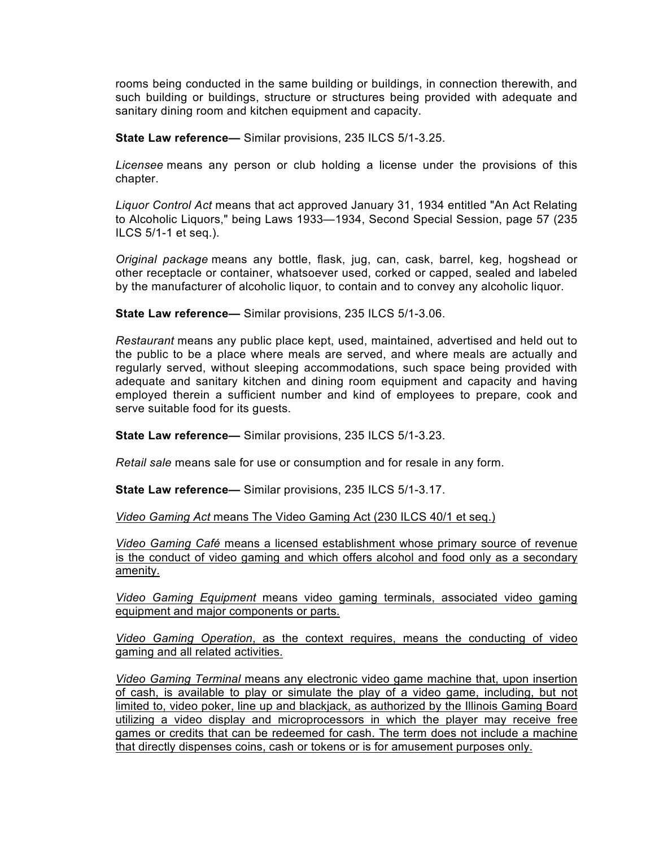rooms being conducted in the same building or buildings, in connection therewith, and such building or buildings, structure or structures being provided with adequate and sanitary dining room and kitchen equipment and capacity.

**State Law reference—** Similar provisions, 235 ILCS 5/1-3.25.

*Licensee* means any person or club holding a license under the provisions of this chapter.

*Liquor Control Act* means that act approved January 31, 1934 entitled "An Act Relating to Alcoholic Liquors," being Laws 1933—1934, Second Special Session, page 57 (235 ILCS 5/1-1 et seq.).

*Original package* means any bottle, flask, jug, can, cask, barrel, keg, hogshead or other receptacle or container, whatsoever used, corked or capped, sealed and labeled by the manufacturer of alcoholic liquor, to contain and to convey any alcoholic liquor.

**State Law reference—** Similar provisions, 235 ILCS 5/1-3.06.

*Restaurant* means any public place kept, used, maintained, advertised and held out to the public to be a place where meals are served, and where meals are actually and regularly served, without sleeping accommodations, such space being provided with adequate and sanitary kitchen and dining room equipment and capacity and having employed therein a sufficient number and kind of employees to prepare, cook and serve suitable food for its guests.

**State Law reference—** Similar provisions, 235 ILCS 5/1-3.23.

*Retail sale* means sale for use or consumption and for resale in any form.

**State Law reference—** Similar provisions, 235 ILCS 5/1-3.17.

*Video Gaming Act* means The Video Gaming Act (230 ILCS 40/1 et seq.)

*Video Gaming Café* means a licensed establishment whose primary source of revenue is the conduct of video gaming and which offers alcohol and food only as a secondary amenity.

*Video Gaming Equipment* means video gaming terminals, associated video gaming equipment and major components or parts.

*Video Gaming Operation*, as the context requires, means the conducting of video gaming and all related activities.

*Video Gaming Terminal* means any electronic video game machine that, upon insertion of cash, is available to play or simulate the play of a video game, including, but not limited to, video poker, line up and blackjack, as authorized by the Illinois Gaming Board utilizing a video display and microprocessors in which the player may receive free games or credits that can be redeemed for cash. The term does not include a machine that directly dispenses coins, cash or tokens or is for amusement purposes only.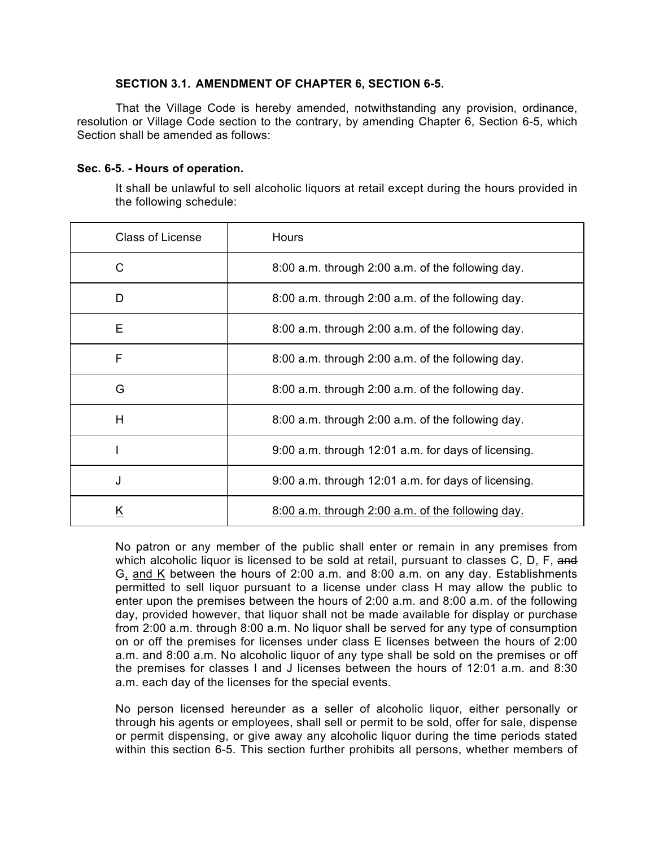## **SECTION 3.1. AMENDMENT OF CHAPTER 6, SECTION 6-5.**

That the Village Code is hereby amended, notwithstanding any provision, ordinance, resolution or Village Code section to the contrary, by amending Chapter 6, Section 6-5, which Section shall be amended as follows:

## **Sec. 6-5. - Hours of operation.**

It shall be unlawful to sell alcoholic liquors at retail except during the hours provided in the following schedule:

| <b>Class of License</b> | <b>Hours</b>                                        |
|-------------------------|-----------------------------------------------------|
| C                       | 8:00 a.m. through 2:00 a.m. of the following day.   |
| D                       | 8:00 a.m. through 2:00 a.m. of the following day.   |
| Ε                       | 8:00 a.m. through 2:00 a.m. of the following day.   |
| F                       | 8:00 a.m. through 2:00 a.m. of the following day.   |
| G                       | 8:00 a.m. through 2:00 a.m. of the following day.   |
| H                       | 8:00 a.m. through 2:00 a.m. of the following day.   |
|                         | 9:00 a.m. through 12:01 a.m. for days of licensing. |
| J                       | 9:00 a.m. through 12:01 a.m. for days of licensing. |
| Κ                       | 8:00 a.m. through 2:00 a.m. of the following day.   |

No patron or any member of the public shall enter or remain in any premises from which alcoholic liquor is licensed to be sold at retail, pursuant to classes C, D, F, and G, and K between the hours of 2:00 a.m. and 8:00 a.m. on any day. Establishments permitted to sell liquor pursuant to a license under class H may allow the public to enter upon the premises between the hours of 2:00 a.m. and 8:00 a.m. of the following day, provided however, that liquor shall not be made available for display or purchase from 2:00 a.m. through 8:00 a.m. No liquor shall be served for any type of consumption on or off the premises for licenses under class E licenses between the hours of 2:00 a.m. and 8:00 a.m. No alcoholic liquor of any type shall be sold on the premises or off the premises for classes I and J licenses between the hours of 12:01 a.m. and 8:30 a.m. each day of the licenses for the special events.

No person licensed hereunder as a seller of alcoholic liquor, either personally or through his agents or employees, shall sell or permit to be sold, offer for sale, dispense or permit dispensing, or give away any alcoholic liquor during the time periods stated within this section 6-5. This section further prohibits all persons, whether members of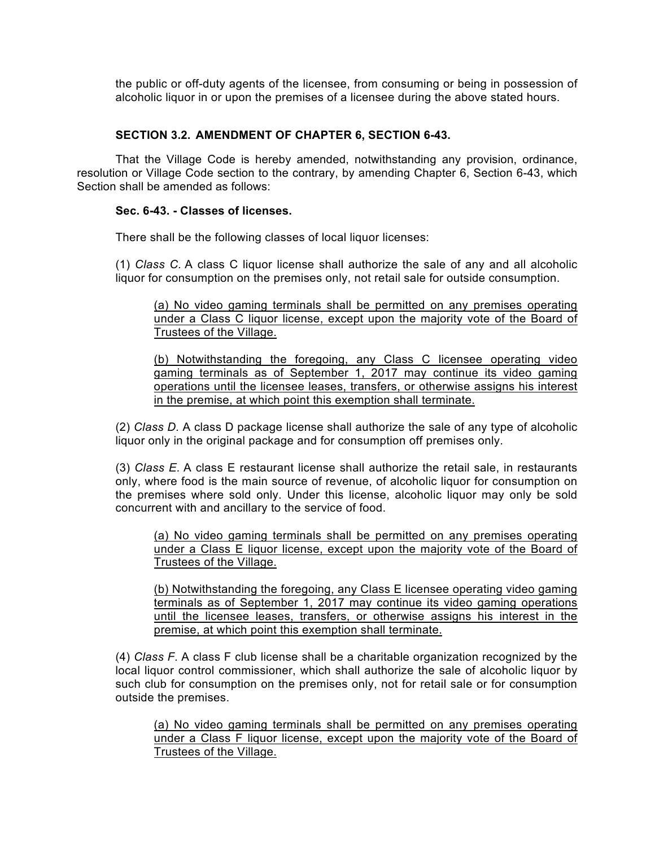the public or off-duty agents of the licensee, from consuming or being in possession of alcoholic liquor in or upon the premises of a licensee during the above stated hours.

## **SECTION 3.2. AMENDMENT OF CHAPTER 6, SECTION 6-43.**

That the Village Code is hereby amended, notwithstanding any provision, ordinance, resolution or Village Code section to the contrary, by amending Chapter 6, Section 6-43, which Section shall be amended as follows:

#### **Sec. 6-43. - Classes of licenses.**

There shall be the following classes of local liquor licenses:

(1) *Class C.* A class C liquor license shall authorize the sale of any and all alcoholic liquor for consumption on the premises only, not retail sale for outside consumption.

(a) No video gaming terminals shall be permitted on any premises operating under a Class C liquor license, except upon the majority vote of the Board of Trustees of the Village.

(b) Notwithstanding the foregoing, any Class C licensee operating video gaming terminals as of September 1, 2017 may continue its video gaming operations until the licensee leases, transfers, or otherwise assigns his interest in the premise, at which point this exemption shall terminate.

(2) *Class D.* A class D package license shall authorize the sale of any type of alcoholic liquor only in the original package and for consumption off premises only.

(3) *Class E.* A class E restaurant license shall authorize the retail sale, in restaurants only, where food is the main source of revenue, of alcoholic liquor for consumption on the premises where sold only. Under this license, alcoholic liquor may only be sold concurrent with and ancillary to the service of food.

(a) No video gaming terminals shall be permitted on any premises operating under a Class E liquor license, except upon the majority vote of the Board of Trustees of the Village.

(b) Notwithstanding the foregoing, any Class E licensee operating video gaming terminals as of September 1, 2017 may continue its video gaming operations until the licensee leases, transfers, or otherwise assigns his interest in the premise, at which point this exemption shall terminate.

(4) *Class F.* A class F club license shall be a charitable organization recognized by the local liquor control commissioner, which shall authorize the sale of alcoholic liquor by such club for consumption on the premises only, not for retail sale or for consumption outside the premises.

(a) No video gaming terminals shall be permitted on any premises operating under a Class F liquor license, except upon the majority vote of the Board of Trustees of the Village.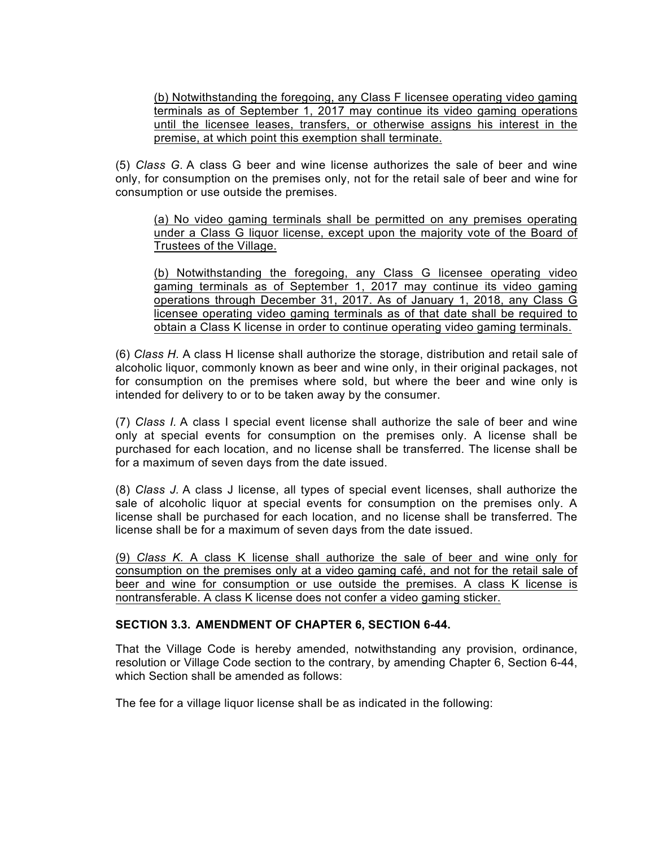(b) Notwithstanding the foregoing, any Class F licensee operating video gaming terminals as of September 1, 2017 may continue its video gaming operations until the licensee leases, transfers, or otherwise assigns his interest in the premise, at which point this exemption shall terminate.

(5) *Class G.* A class G beer and wine license authorizes the sale of beer and wine only, for consumption on the premises only, not for the retail sale of beer and wine for consumption or use outside the premises.

(a) No video gaming terminals shall be permitted on any premises operating under a Class G liquor license, except upon the majority vote of the Board of Trustees of the Village.

(b) Notwithstanding the foregoing, any Class G licensee operating video gaming terminals as of September 1, 2017 may continue its video gaming operations through December 31, 2017. As of January 1, 2018, any Class G licensee operating video gaming terminals as of that date shall be required to obtain a Class K license in order to continue operating video gaming terminals.

(6) *Class H.* A class H license shall authorize the storage, distribution and retail sale of alcoholic liquor, commonly known as beer and wine only, in their original packages, not for consumption on the premises where sold, but where the beer and wine only is intended for delivery to or to be taken away by the consumer.

(7) *Class I.* A class I special event license shall authorize the sale of beer and wine only at special events for consumption on the premises only. A license shall be purchased for each location, and no license shall be transferred. The license shall be for a maximum of seven days from the date issued.

(8) *Class J.* A class J license, all types of special event licenses, shall authorize the sale of alcoholic liquor at special events for consumption on the premises only. A license shall be purchased for each location, and no license shall be transferred. The license shall be for a maximum of seven days from the date issued.

(9) *Class K.* A class K license shall authorize the sale of beer and wine only for consumption on the premises only at a video gaming café, and not for the retail sale of beer and wine for consumption or use outside the premises. A class K license is nontransferable. A class K license does not confer a video gaming sticker.

#### **SECTION 3.3. AMENDMENT OF CHAPTER 6, SECTION 6-44.**

That the Village Code is hereby amended, notwithstanding any provision, ordinance, resolution or Village Code section to the contrary, by amending Chapter 6, Section 6-44, which Section shall be amended as follows:

The fee for a village liquor license shall be as indicated in the following: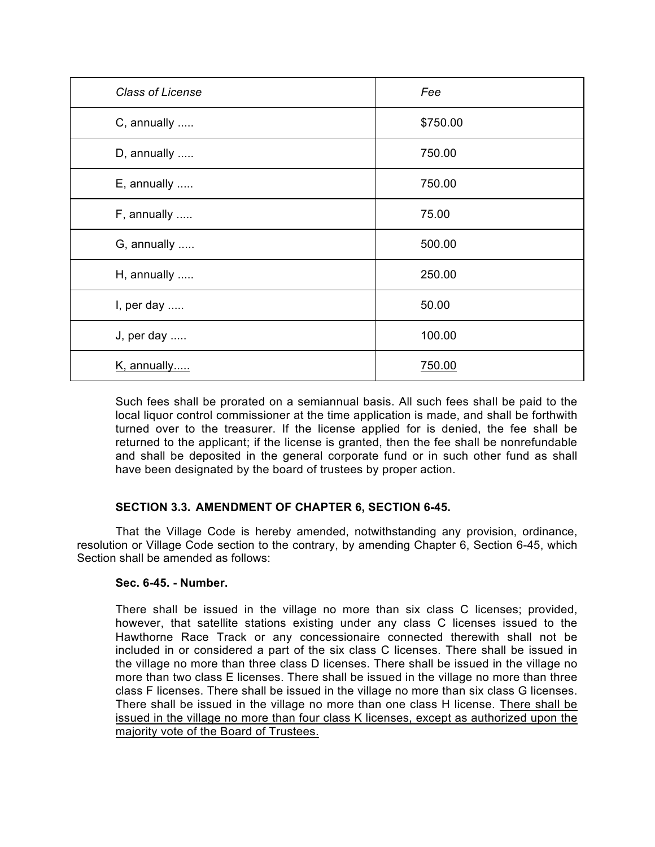| <b>Class of License</b> | Fee      |
|-------------------------|----------|
| C, annually             | \$750.00 |
| D, annually             | 750.00   |
| E, annually             | 750.00   |
| F, annually             | 75.00    |
| G, annually             | 500.00   |
| H, annually             | 250.00   |
| I, per day              | 50.00    |
| J, per day              | 100.00   |
| K, annually             | 750.00   |

Such fees shall be prorated on a semiannual basis. All such fees shall be paid to the local liquor control commissioner at the time application is made, and shall be forthwith turned over to the treasurer. If the license applied for is denied, the fee shall be returned to the applicant; if the license is granted, then the fee shall be nonrefundable and shall be deposited in the general corporate fund or in such other fund as shall have been designated by the board of trustees by proper action.

# **SECTION 3.3. AMENDMENT OF CHAPTER 6, SECTION 6-45.**

That the Village Code is hereby amended, notwithstanding any provision, ordinance, resolution or Village Code section to the contrary, by amending Chapter 6, Section 6-45, which Section shall be amended as follows:

# **Sec. 6-45. - Number.**

There shall be issued in the village no more than six class C licenses; provided, however, that satellite stations existing under any class C licenses issued to the Hawthorne Race Track or any concessionaire connected therewith shall not be included in or considered a part of the six class C licenses. There shall be issued in the village no more than three class D licenses. There shall be issued in the village no more than two class E licenses. There shall be issued in the village no more than three class F licenses. There shall be issued in the village no more than six class G licenses. There shall be issued in the village no more than one class H license. There shall be issued in the village no more than four class K licenses, except as authorized upon the majority vote of the Board of Trustees.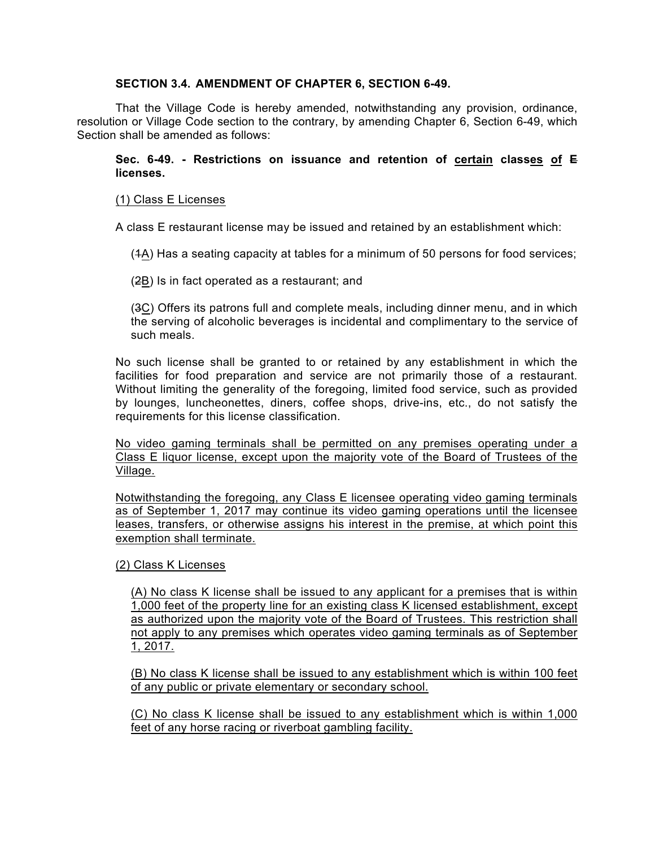## **SECTION 3.4. AMENDMENT OF CHAPTER 6, SECTION 6-49.**

That the Village Code is hereby amended, notwithstanding any provision, ordinance, resolution or Village Code section to the contrary, by amending Chapter 6, Section 6-49, which Section shall be amended as follows:

## **Sec. 6-49. - Restrictions on issuance and retention of certain classes of E licenses.**

## (1) Class E Licenses

A class E restaurant license may be issued and retained by an establishment which:

(1A) Has a seating capacity at tables for a minimum of 50 persons for food services;

(2B) Is in fact operated as a restaurant; and

(3C) Offers its patrons full and complete meals, including dinner menu, and in which the serving of alcoholic beverages is incidental and complimentary to the service of such meals.

No such license shall be granted to or retained by any establishment in which the facilities for food preparation and service are not primarily those of a restaurant. Without limiting the generality of the foregoing, limited food service, such as provided by lounges, luncheonettes, diners, coffee shops, drive-ins, etc., do not satisfy the requirements for this license classification.

No video gaming terminals shall be permitted on any premises operating under a Class E liquor license, except upon the majority vote of the Board of Trustees of the Village.

Notwithstanding the foregoing, any Class E licensee operating video gaming terminals as of September 1, 2017 may continue its video gaming operations until the licensee leases, transfers, or otherwise assigns his interest in the premise, at which point this exemption shall terminate.

#### (2) Class K Licenses

(A) No class K license shall be issued to any applicant for a premises that is within 1,000 feet of the property line for an existing class K licensed establishment, except as authorized upon the majority vote of the Board of Trustees. This restriction shall not apply to any premises which operates video gaming terminals as of September 1, 2017.

(B) No class K license shall be issued to any establishment which is within 100 feet of any public or private elementary or secondary school.

(C) No class K license shall be issued to any establishment which is within 1,000 feet of any horse racing or riverboat gambling facility.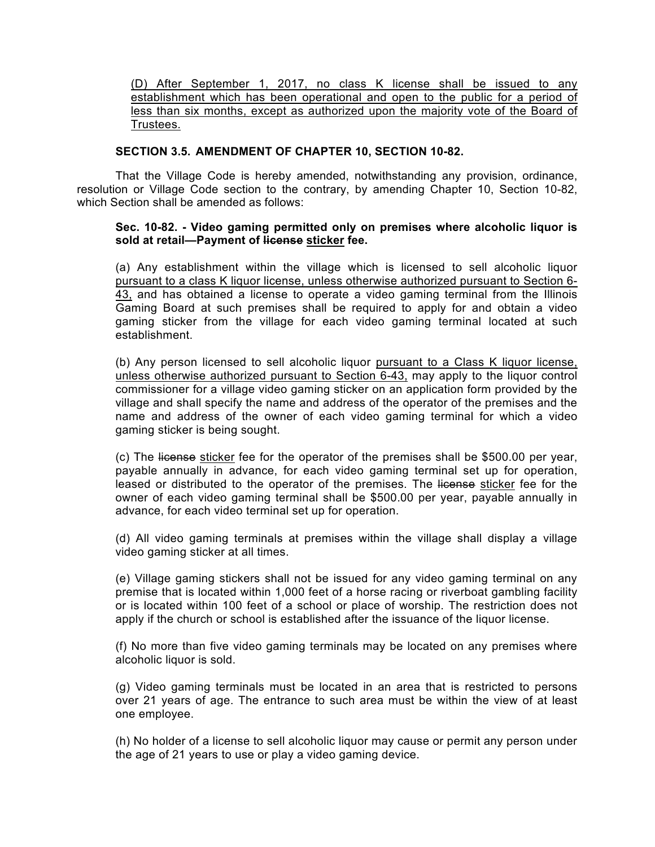## (D) After September 1, 2017, no class K license shall be issued to any establishment which has been operational and open to the public for a period of less than six months, except as authorized upon the majority vote of the Board of Trustees.

## **SECTION 3.5. AMENDMENT OF CHAPTER 10, SECTION 10-82.**

That the Village Code is hereby amended, notwithstanding any provision, ordinance, resolution or Village Code section to the contrary, by amending Chapter 10, Section 10-82, which Section shall be amended as follows:

## **Sec. 10-82. - Video gaming permitted only on premises where alcoholic liquor is sold at retail—Payment of license sticker fee.**

(a) Any establishment within the village which is licensed to sell alcoholic liquor pursuant to a class K liquor license, unless otherwise authorized pursuant to Section 6- 43, and has obtained a license to operate a video gaming terminal from the Illinois Gaming Board at such premises shall be required to apply for and obtain a video gaming sticker from the village for each video gaming terminal located at such establishment.

(b) Any person licensed to sell alcoholic liquor pursuant to a Class K liquor license, unless otherwise authorized pursuant to Section 6-43, may apply to the liquor control commissioner for a village video gaming sticker on an application form provided by the village and shall specify the name and address of the operator of the premises and the name and address of the owner of each video gaming terminal for which a video gaming sticker is being sought.

(c) The license sticker fee for the operator of the premises shall be \$500.00 per year, payable annually in advance, for each video gaming terminal set up for operation, leased or distributed to the operator of the premises. The license sticker fee for the owner of each video gaming terminal shall be \$500.00 per year, payable annually in advance, for each video terminal set up for operation.

(d) All video gaming terminals at premises within the village shall display a village video gaming sticker at all times.

(e) Village gaming stickers shall not be issued for any video gaming terminal on any premise that is located within 1,000 feet of a horse racing or riverboat gambling facility or is located within 100 feet of a school or place of worship. The restriction does not apply if the church or school is established after the issuance of the liquor license.

(f) No more than five video gaming terminals may be located on any premises where alcoholic liquor is sold.

(g) Video gaming terminals must be located in an area that is restricted to persons over 21 years of age. The entrance to such area must be within the view of at least one employee.

(h) No holder of a license to sell alcoholic liquor may cause or permit any person under the age of 21 years to use or play a video gaming device.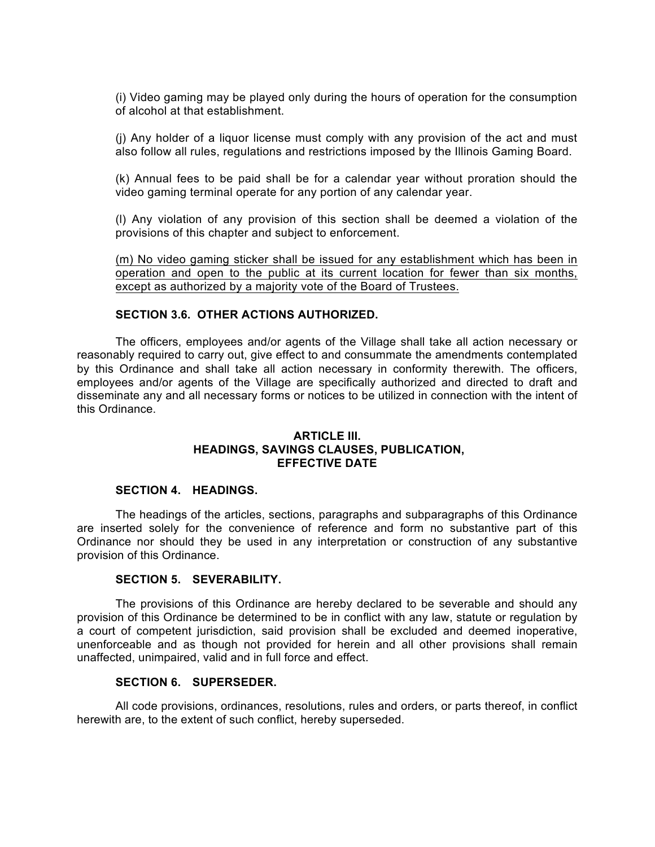(i) Video gaming may be played only during the hours of operation for the consumption of alcohol at that establishment.

(j) Any holder of a liquor license must comply with any provision of the act and must also follow all rules, regulations and restrictions imposed by the Illinois Gaming Board.

(k) Annual fees to be paid shall be for a calendar year without proration should the video gaming terminal operate for any portion of any calendar year.

(l) Any violation of any provision of this section shall be deemed a violation of the provisions of this chapter and subject to enforcement.

(m) No video gaming sticker shall be issued for any establishment which has been in operation and open to the public at its current location for fewer than six months, except as authorized by a majority vote of the Board of Trustees.

#### **SECTION 3.6. OTHER ACTIONS AUTHORIZED.**

The officers, employees and/or agents of the Village shall take all action necessary or reasonably required to carry out, give effect to and consummate the amendments contemplated by this Ordinance and shall take all action necessary in conformity therewith. The officers, employees and/or agents of the Village are specifically authorized and directed to draft and disseminate any and all necessary forms or notices to be utilized in connection with the intent of this Ordinance.

#### **ARTICLE III. HEADINGS, SAVINGS CLAUSES, PUBLICATION, EFFECTIVE DATE**

## **SECTION 4. HEADINGS.**

The headings of the articles, sections, paragraphs and subparagraphs of this Ordinance are inserted solely for the convenience of reference and form no substantive part of this Ordinance nor should they be used in any interpretation or construction of any substantive provision of this Ordinance.

#### **SECTION 5. SEVERABILITY.**

The provisions of this Ordinance are hereby declared to be severable and should any provision of this Ordinance be determined to be in conflict with any law, statute or regulation by a court of competent jurisdiction, said provision shall be excluded and deemed inoperative, unenforceable and as though not provided for herein and all other provisions shall remain unaffected, unimpaired, valid and in full force and effect.

#### **SECTION 6. SUPERSEDER.**

All code provisions, ordinances, resolutions, rules and orders, or parts thereof, in conflict herewith are, to the extent of such conflict, hereby superseded.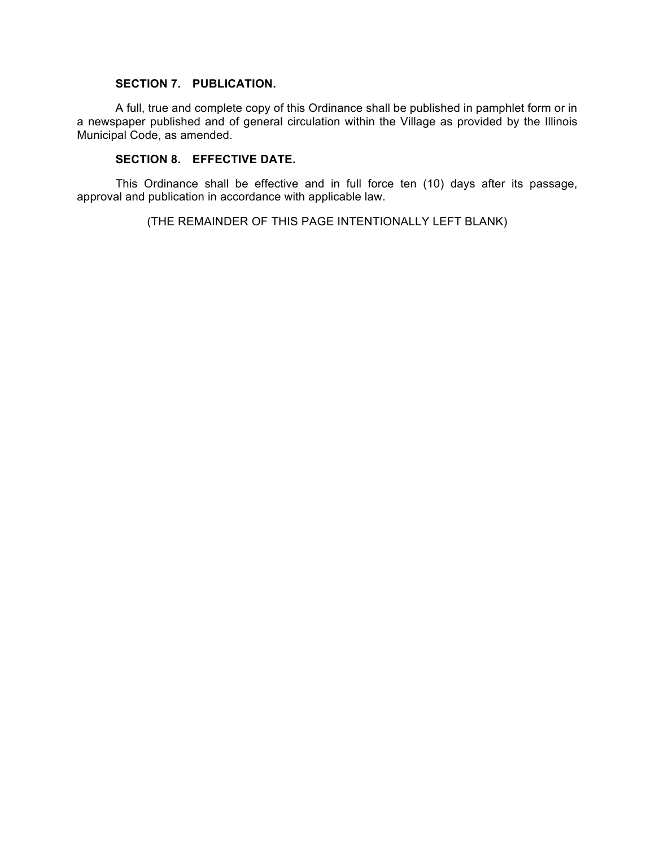### **SECTION 7. PUBLICATION.**

A full, true and complete copy of this Ordinance shall be published in pamphlet form or in a newspaper published and of general circulation within the Village as provided by the Illinois Municipal Code, as amended.

# **SECTION 8. EFFECTIVE DATE.**

This Ordinance shall be effective and in full force ten (10) days after its passage, approval and publication in accordance with applicable law.

(THE REMAINDER OF THIS PAGE INTENTIONALLY LEFT BLANK)